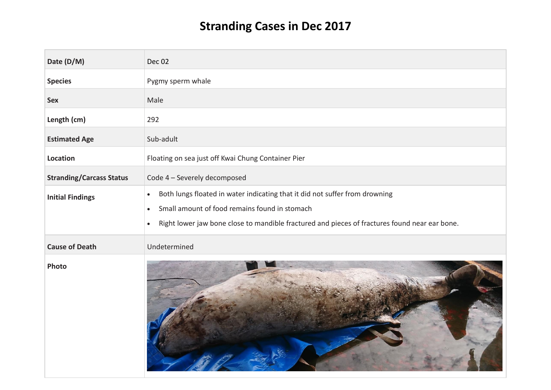## **Stranding Cases in Dec 2017**

| Date (D/M)                      | <b>Dec 02</b>                                                                                                                                                                                                                                                        |
|---------------------------------|----------------------------------------------------------------------------------------------------------------------------------------------------------------------------------------------------------------------------------------------------------------------|
| <b>Species</b>                  | Pygmy sperm whale                                                                                                                                                                                                                                                    |
| <b>Sex</b>                      | Male                                                                                                                                                                                                                                                                 |
| Length (cm)                     | 292                                                                                                                                                                                                                                                                  |
| <b>Estimated Age</b>            | Sub-adult                                                                                                                                                                                                                                                            |
| Location                        | Floating on sea just off Kwai Chung Container Pier                                                                                                                                                                                                                   |
| <b>Stranding/Carcass Status</b> | Code 4 - Severely decomposed                                                                                                                                                                                                                                         |
| <b>Initial Findings</b>         | Both lungs floated in water indicating that it did not suffer from drowning<br>$\bullet$<br>Small amount of food remains found in stomach<br>$\bullet$<br>Right lower jaw bone close to mandible fractured and pieces of fractures found near ear bone.<br>$\bullet$ |
| <b>Cause of Death</b>           | Undetermined                                                                                                                                                                                                                                                         |
| Photo                           |                                                                                                                                                                                                                                                                      |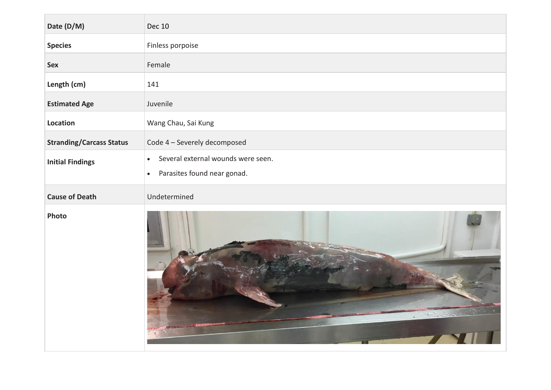| Date (D/M)                      | <b>Dec 10</b>                                                                               |
|---------------------------------|---------------------------------------------------------------------------------------------|
| <b>Species</b>                  | Finless porpoise                                                                            |
| <b>Sex</b>                      | Female                                                                                      |
| Length (cm)                     | 141                                                                                         |
| <b>Estimated Age</b>            | Juvenile                                                                                    |
| <b>Location</b>                 | Wang Chau, Sai Kung                                                                         |
| <b>Stranding/Carcass Status</b> | Code 4 - Severely decomposed                                                                |
| <b>Initial Findings</b>         | Several external wounds were seen.<br>$\bullet$<br>Parasites found near gonad.<br>$\bullet$ |
| <b>Cause of Death</b>           | Undetermined                                                                                |
| Photo                           |                                                                                             |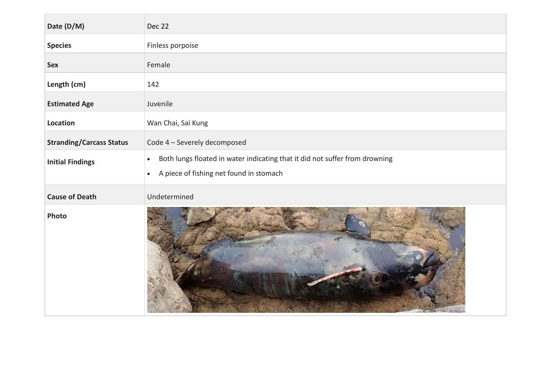| Date (D/M)                      | Dec 22                                                                                                                                           |
|---------------------------------|--------------------------------------------------------------------------------------------------------------------------------------------------|
| <b>Species</b>                  | Finless porpoise                                                                                                                                 |
| <b>Sex</b>                      | Female                                                                                                                                           |
| Length (cm)                     | 142                                                                                                                                              |
| <b>Estimated Age</b>            | Juvenile                                                                                                                                         |
| Location                        | Wan Chai, Sai Kung                                                                                                                               |
| <b>Stranding/Carcass Status</b> | Code 4 - Severely decomposed                                                                                                                     |
| <b>Initial Findings</b>         | Both lungs floated in water indicating that it did not suffer from drowning<br>$\bullet$<br>A piece of fishing net found in stomach<br>$\bullet$ |
| <b>Cause of Death</b>           | Undetermined                                                                                                                                     |
| Photo                           |                                                                                                                                                  |